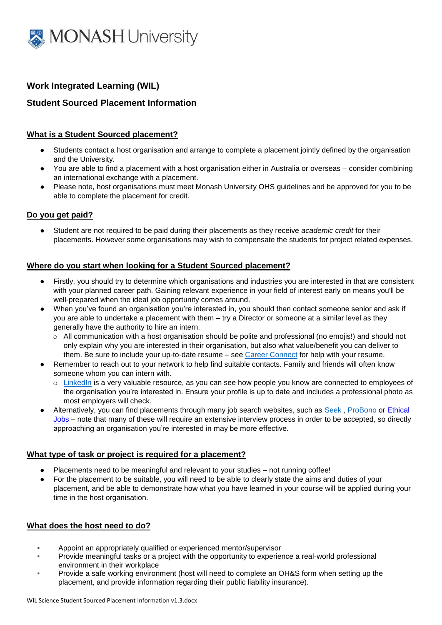

# **Work Integrated Learning (WIL)**

# **Student Sourced Placement Information**

## **What is a Student Sourced placement?**

- Students contact a host organisation and arrange to complete a placement jointly defined by the organisation and the University.
- You are able to find a placement with a host organisation either in Australia or overseas consider combining an international exchange with a placement.
- Please note, host organisations must meet Monash University OHS guidelines and be approved for you to be able to complete the placement for credit.

## **Do you get paid?**

● Student are not required to be paid during their placements as they receive *academic credit* for their placements. However some organisations may wish to compensate the students for project related expenses.

## **Where do you start when looking for a Student Sourced placement?**

- Firstly, you should try to determine which organisations and industries you are interested in that are consistent with your planned career path. Gaining relevant experience in your field of interest early on means you'll be well-prepared when the ideal job opportunity comes around.
- When you've found an organisation you're interested in, you should then contact someone senior and ask if you are able to undertake a placement with them – try a Director or someone at a similar level as they generally have the authority to hire an intern.
	- o All communication with a host organisation should be polite and professional (no emojis!) and should not only explain why you are interested in their organisation, but also what value/benefit you can deliver to them. Be sure to include your up-to-date resume – see [Career Connect](http://www.monash.edu/career-connect) for help with your resume.
- Remember to reach out to your network to help find suitable contacts. Family and friends will often know someone whom you can intern with.
	- o [LinkedIn](https://www.linkedin.com/) is a very valuable resource, as you can see how people you know are connected to employees of the organisation you're interested in. Ensure your profile is up to date and includes a professional photo as most employers will check.
- Alternatively, you can find placements through many job search websites, such as [Seek](https://www.seek.com.au/), [ProBono](https://probonoaustralia.com.au/) or Ethical [Jobs](http://www.ethicaljobs.com.au/) – note that many of these will require an extensive interview process in order to be accepted, so directly approaching an organisation you're interested in may be more effective.

## **What type of task or project is required for a placement?**

- Placements need to be meaningful and relevant to your studies not running coffee!
- For the placement to be suitable, you will need to be able to clearly state the aims and duties of your placement, and be able to demonstrate how what you have learned in your course will be applied during your time in the host organisation.

## **What does the host need to do?**

- Appoint an appropriately qualified or experienced mentor/supervisor
- Provide meaningful tasks or a project with the opportunity to experience a real-world professional environment in their workplace
- Provide a safe working environment (host will need to complete an OH&S form when setting up the placement, and provide information regarding their public liability insurance).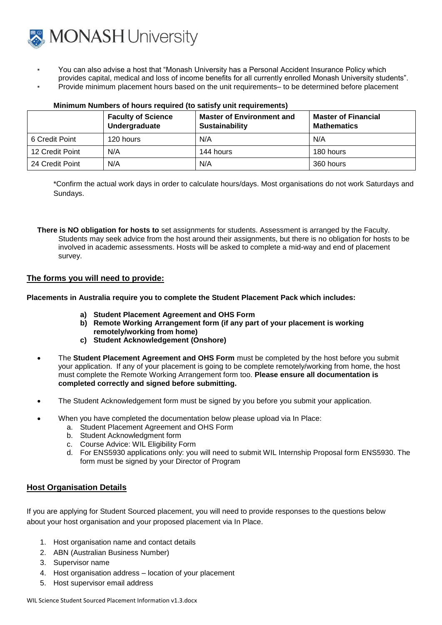

- You can also advise a host that "Monash University has a Personal Accident Insurance Policy which provides capital, medical and loss of income benefits for all currently enrolled Monash University students".
- Provide minimum placement hours based on the unit requirements– to be determined before placement

|                 | <b>Faculty of Science</b><br>Undergraduate | <b>Master of Environment and</b><br>Sustainability | <b>Master of Financial</b><br><b>Mathematics</b> |
|-----------------|--------------------------------------------|----------------------------------------------------|--------------------------------------------------|
| 6 Credit Point  | 120 hours                                  | N/A                                                | N/A                                              |
| 12 Credit Point | N/A                                        | 144 hours                                          | 180 hours                                        |
| 24 Credit Point | N/A                                        | N/A                                                | 360 hours                                        |

#### **Minimum Numbers of hours required (to satisfy unit requirements)**

\*Confirm the actual work days in order to calculate hours/days. Most organisations do not work Saturdays and Sundays.

**There is NO obligation for hosts to** set assignments for students. Assessment is arranged by the Faculty. Students may seek advice from the host around their assignments, but there is no obligation for hosts to be involved in academic assessments. Hosts will be asked to complete a mid-way and end of placement survey.

## **The forms you will need to provide:**

**Placements in Australia require you to complete the Student Placement Pack which includes:**

- **a) Student Placement Agreement and OHS Form**
- **b) Remote Working Arrangement form (if any part of your placement is working remotely/working from home)**
- **c) Student Acknowledgement (Onshore)**
- The **Student Placement Agreement and OHS Form** must be completed by the host before you submit your application. If any of your placement is going to be complete remotely/working from home, the host must complete the Remote Working Arrangement form too. **Please ensure all documentation is completed correctly and signed before submitting.**
- The Student Acknowledgement form must be signed by you before you submit your application.
- When you have completed the documentation below please upload via In Place:
	- a. Student Placement Agreement and OHS Form
	- b. Student Acknowledgment form
	- c. Course Advice: WIL Eligibility Form
	- d. For ENS5930 applications only: you will need to submit WIL Internship Proposal form ENS5930. The form must be signed by your Director of Program

## **Host Organisation Details**

If you are applying for Student Sourced placement, you will need to provide responses to the questions below about your host organisation and your proposed placement via In Place.

- 1. Host organisation name and contact details
- 2. ABN (Australian Business Number)
- 3. Supervisor name
- 4. Host organisation address location of your placement
- 5. Host supervisor email address